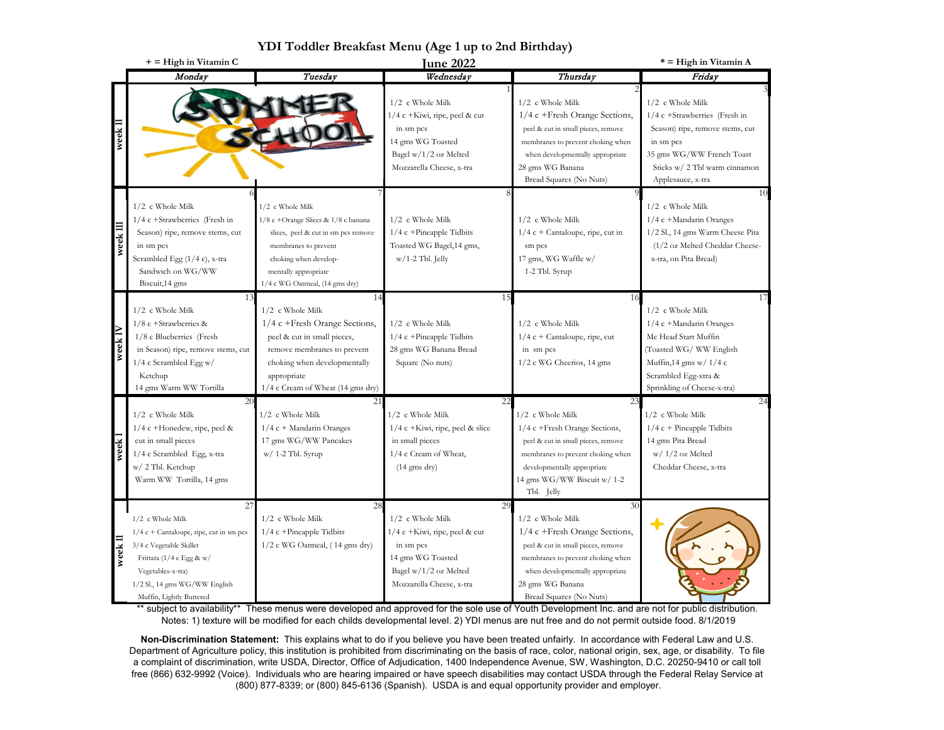|          | + = High in Vitamin C                                                                                                                                                                                        | $121$ Tought Dicamast ment $(125)$ T up to 2nd Difficulty                                                                                                                                                   | <b>June 2022</b>                                                                                                                                 |                                                                                                                                                                                                                         | * = High in Vitamin A                                                                                                                                                                        |
|----------|--------------------------------------------------------------------------------------------------------------------------------------------------------------------------------------------------------------|-------------------------------------------------------------------------------------------------------------------------------------------------------------------------------------------------------------|--------------------------------------------------------------------------------------------------------------------------------------------------|-------------------------------------------------------------------------------------------------------------------------------------------------------------------------------------------------------------------------|----------------------------------------------------------------------------------------------------------------------------------------------------------------------------------------------|
|          | Monday                                                                                                                                                                                                       | Tuesday                                                                                                                                                                                                     | Wednesday                                                                                                                                        | Thursday                                                                                                                                                                                                                | Friday                                                                                                                                                                                       |
| week l   |                                                                                                                                                                                                              |                                                                                                                                                                                                             | 1/2 c Whole Milk<br>1/4 c + Kiwi, ripe, peel & cut<br>in sm pcs<br>14 gms WG Toasted<br>Bagel w/1/2 oz Melted<br>Mozzarella Cheese, x-tra        | 1/2 c Whole Milk<br>1/4 c +Fresh Orange Sections,<br>peel & cut in small pieces, remove<br>membranes to prevent choking when<br>when developmentally appropriate<br>28 gms WG Banana<br>Bread Squares (No Nuts)         | $1/2$ c Whole Milk<br>1/4 c +Strawberries (Fresh in<br>Season) ripe, remove stems, cut<br>in sm pcs<br>35 gms WG/WW French Toast<br>Sticks w/ 2 Tbl warm cinnamon<br>Applesauce, x-tra       |
| week III | 1/2 c Whole Milk<br>1/4 c +Strawberries (Fresh in<br>Season) ripe, remove stems, cut<br>in sm pcs<br>Scrambled Egg (1/4 c), x-tra<br>Sandwich on WG/WW<br>Biscuit, 14 gms                                    | 1/2 c Whole Milk<br>1/8 c +Orange Slices & 1/8 c banana<br>slices, peel & cut in sm pcs remove<br>membranes to prevent<br>choking when develop-<br>mentally appropriate<br>1/4 c WG Oatmeal, (14 gms dry)   | 1/2 c Whole Milk<br>$1/4$ c +Pineapple Tidbits<br>Toasted WG Bagel, 14 gms,<br>$w/1-2$ Tbl. Jelly                                                | 1/2 c Whole Milk<br>$1/4$ c + Cantaloupe, ripe, cut in<br>sm pcs<br>17 gms, WG Waffle w/<br>1-2 Tbl. Syrup                                                                                                              | 10<br>$1/2$ c Whole Milk<br>1/4 c +Mandarin Oranges<br>1/2 Sl., 14 gms Warm Cheese Pita<br>(1/2 oz Melted Cheddar Cheese-<br>x-tra, on Pita Bread)                                           |
| week1    | 13<br>$1/2$ c Whole Milk<br>$1/8$ c +Strawberries &<br>1/8 c Blueberries (Fresh<br>in Season) ripe, remove stems, cut<br>1/4 c Scrambled Egg w/<br>Ketchup<br>14 gms Warm WW Tortilla                        | 14<br>1/2 c Whole Milk<br>$1/4$ c +Fresh Orange Sections,<br>peel & cut in small pieces,<br>remove membranes to prevent<br>choking when developmentally<br>appropriate<br>1/4 c Cream of Wheat (14 gms dry) | 15<br>1/2 c Whole Milk<br>$1/4$ c +Pineapple Tidbits<br>28 gms WG Banana Bread<br>Square (No nuts)                                               | 16<br>$1/2$ c Whole Milk<br>1/4 c + Cantaloupe, ripe, cut<br>in sm pcs<br>1/2 c WG Cheerios, 14 gms                                                                                                                     | 17<br>$1/2$ c Whole Milk<br>1/4 c +Mandarin Oranges<br>Mc Head Start Muffin<br>(Toasted WG/ WW English<br>Muffin, $14$ gms w/ $1/4$ c<br>Scrambled Egg-xtra &<br>Sprinkling of Cheese-x-tra) |
| week     | 20<br>$1/2~$ c Whole Milk<br>$1/4$ c +Honedew, ripe, peel &<br>cut in small pieces<br>1/4 c Scrambled Egg, x-tra<br>w/ 2 Tbl. Ketchup<br>Warm WW Tortilla, 14 gms                                            | 21<br>1/2 c Whole Milk<br>$1/4$ c + Mandarin Oranges<br>17 gms WG/WW Pancakes<br>w/ 1-2 Tbl. Syrup                                                                                                          | 22<br>1/2 c Whole Milk<br>$1/4$ c +Kiwi, ripe, peel & slice<br>in small pieces<br>1/4 c Cream of Wheat,<br>$(14 \text{ gms dry})$                | 23<br>1/2 c Whole Milk<br>$1/4$ c +Fresh Orange Sections,<br>peel & cut in small pieces, remove<br>membranes to prevent choking when<br>developmentally appropriate<br>14 gms WG/WW Biscuit w/ 1-2<br>Tbl. Jelly        | 24<br>1/2 c Whole Milk<br>$1/4$ c + Pineapple Tidbits<br>14 gms Pita Bread<br>$w/1/2$ oz Melted<br>Cheddar Cheese, x-tra                                                                     |
| week     | 27<br>1/2 c Whole Milk<br>$1/4$ c + Cantaloupe, ripe, cut in sm pcs<br>3/4 c Vegetable Skillet<br>Frittata (1/4 c Egg & w/<br>Vegetables-x-tra)<br>1/2 Sl., 14 gms WG/WW English<br>Muffin, Lightly Buttered | 28<br>1/2 c Whole Milk<br>$1/4$ c +Pineapple Tidbits<br>1/2 c WG Oatmeal, (14 gms dry)                                                                                                                      | 29<br>1/2 c Whole Milk<br>$1/4$ c +Kiwi, ripe, peel & cut<br>in sm pcs<br>14 gms WG Toasted<br>Bagel w/1/2 oz Melted<br>Mozzarella Cheese, x-tra | 30<br>1/2 c Whole Milk<br>$1/4$ c +Fresh Orange Sections,<br>peel & cut in small pieces, remove<br>membranes to prevent choking when<br>when developmentally appropriate<br>28 gms WG Banana<br>Bread Squares (No Nuts) |                                                                                                                                                                                              |

**YDI Toddler Breakfast Menu (Age 1 up to 2nd Birthday)**

\*\* subject to availability\*\* These menus were developed and approved for the sole use of Youth Development Inc. and are not for public distribution. Notes: 1) texture will be modified for each childs developmental level. 2) YDI menus are nut free and do not permit outside food. 8/1/2019

**Non-Discrimination Statement:** This explains what to do if you believe you have been treated unfairly. In accordance with Federal Law and U.S. Department of Agriculture policy, this institution is prohibited from discriminating on the basis of race, color, national origin, sex, age, or disability. To file a complaint of discrimination, write USDA, Director, Office of Adjudication, 1400 Independence Avenue, SW, Washington, D.C. 20250-9410 or call toll free (866) 632-9992 (Voice). Individuals who are hearing impaired or have speech disabilities may contact USDA through the Federal Relay Service at (800) 877-8339; or (800) 845-6136 (Spanish). USDA is and equal opportunity provider and employer.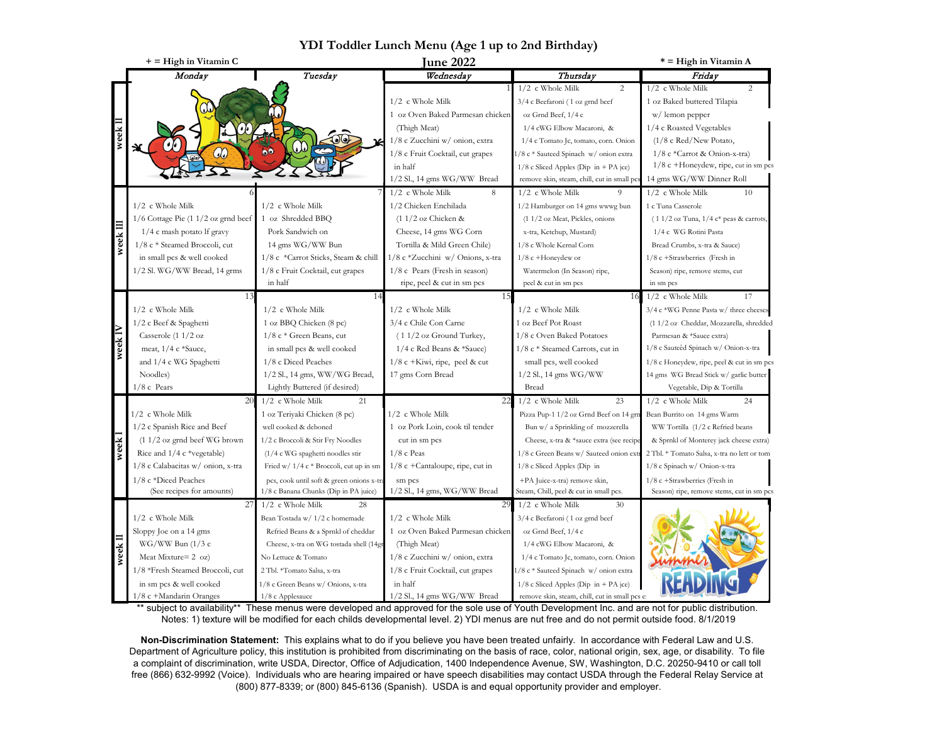|          | + = High in Vitamin C                                                 |                                           | <b>June 2022</b>                   |                                               | * = High in Vitamin A                                                     |
|----------|-----------------------------------------------------------------------|-------------------------------------------|------------------------------------|-----------------------------------------------|---------------------------------------------------------------------------|
|          | Monday                                                                | Tuesday                                   | Wednesdav                          | Thursdav                                      | Friday                                                                    |
|          |                                                                       |                                           |                                    | 1/2 c Whole Milk<br>2                         | 1/2 c Whole Milk<br>$\overline{c}$                                        |
|          |                                                                       |                                           | $1/2$ c Whole Milk                 | 3/4 c Beefaroni (1 oz grnd beef               | 1 oz Baked buttered Tilapia                                               |
|          |                                                                       |                                           | 1 oz Oven Baked Parmesan chicken   | oz Grnd Beef, 1/4 c                           | w/lemon pepper                                                            |
|          |                                                                       |                                           | (Thigh Meat)                       | 1/4 cWG Elbow Macaroni, &                     | 1/4 c Roasted Vegetables                                                  |
|          |                                                                       |                                           | 1/8 c Zucchini w/ onion, extra     | 1/4 c Tomato Jc, tomato, corn. Onion          | $(1/8$ c Red/New Potato,                                                  |
|          | ¥<br>$C\!\!\!\!O$                                                     | $\bullet$                                 | 1/8 c Fruit Cocktail, cut grapes   | 1/8 c * Sauteed Spinach w/ onion extra        | $1/8$ c *Carrot & Onion-x-tra)                                            |
|          |                                                                       |                                           | in half                            | $1/8$ c Sliced Apples (Dip in + PA jce)       | $1/8$ c +Honeydew, ripe, cut in sm pcs                                    |
|          |                                                                       |                                           | 1/2 Sl., 14 gms WG/WW Bread        | remove skin, steam, chill, cut in small po    | 14 gms WG/WW Dinner Roll                                                  |
|          |                                                                       |                                           | $1/2$ c Whole Milk<br>8            | $1/2$ c Whole Milk<br>9                       | $1/2$ c Whole Milk<br>10                                                  |
|          | 1/2 c Whole Milk                                                      | $1/2$ c Whole Milk                        | 1/2 Chicken Enchilada              | 1/2 Hamburger on 14 gms wwwg bun              | 1 c Tuna Casserole                                                        |
|          | $1/6$ Cottage Pie $(1\ 1/2)$ oz grnd beef                             | 1 oz Shredded BBQ                         | $(11/2)$ oz Chicken &              | (1 1/2 oz Meat, Pickles, onions               | $(11/2 \text{ oz Tuna}, 1/4 \text{ c*} \text{ p eas} \& \text{ carrots},$ |
|          | 1/4 c mash potato lf gravy                                            | Pork Sandwich on                          | Cheese, 14 gms WG Corn             | x-tra, Ketchup, Mustard)                      | 1/4 c WG Rotini Pasta                                                     |
| week III | 1/8 c * Steamed Broccoli, cut                                         | 14 gms WG/WW Bun                          | Tortilla & Mild Green Chile)       | 1/8 c Whole Kernal Corn                       | Bread Crumbs, x-tra & Sauce)                                              |
|          | in small pcs & well cooked                                            | 1/8 c *Carrot Sticks, Steam & chill       | 1/8 c *Zucchini w/ Onions, x-tra   | $1/8$ c +Honeydew or                          | 1/8 c +Strawberries (Fresh in                                             |
|          | 1/2 Sl. WG/WW Bread, 14 grms                                          | 1/8 c Fruit Cocktail, cut grapes          | $1/8$ c Pears (Fresh in season)    | Watermelon (In Season) ripe,                  | Season) ripe, remove stems, cut                                           |
|          |                                                                       | in half                                   | ripe, peel & cut in sm pcs         | peel & cut in sm pcs                          | in sm pcs                                                                 |
|          |                                                                       | 14                                        | 15                                 | 16                                            | $1/2$ c Whole Milk<br>17                                                  |
|          | $1/2$ c Whole Milk                                                    | $1/2$ c Whole Milk                        | $1/2$ c Whole Milk                 | $1/2$ c Whole Milk                            | 3/4 c *WG Penne Pasta w/ three cheeses                                    |
|          | 1/2 c Beef & Spaghetti                                                | 1 oz BBQ Chicken (8 pc)                   | 3/4 c Chile Con Carne              | 1 oz Beef Pot Roast                           | (1 1/2 oz Cheddar, Mozzarella, shredded                                   |
|          | Casserole (1 1/2 oz                                                   | $1/8$ c * Green Beans, cut                | $(11/2 \text{ oz }$ Ground Turkey, | 1/8 c Oven Baked Potatoes                     | Parmesan & *Sauce extra)                                                  |
| week IV  | meat, 1/4 c *Sauce,                                                   | in small pcs & well cooked                | 1/4 c Red Beans & *Sauce)          | 1/8 c * Steamed Carrots, cut in               | 1/8 c Sauteéd Spinach w/ Onion-x-tra                                      |
|          | and 1/4 c WG Spaghetti                                                | 1/8 c Diced Peaches                       | $1/8$ c +Kiwi, ripe, peel & cut    | small pcs, well cooked                        | 1/8 c Honeydew, ripe, peel & cut in sm pcs                                |
|          | Noodles)                                                              | 1/2 Sl., 14 gms, WW/WG Bread,             | 17 gms Corn Bread                  | 1/2 Sl., 14 gms WG/WW                         | 14 gms WG Bread Stick w/ garlic butter                                    |
|          | $1/8$ c Pears                                                         | Lightly Buttered (if desired)             |                                    | Bread                                         | Vegetable, Dip & Tortilla                                                 |
|          | 20                                                                    | $1/2$ c Whole Milk<br>21                  | 22                                 | $1/2$ c Whole Milk<br>23                      | $1/2$ c Whole Milk<br>24                                                  |
|          | $1/2$ c Whole Milk                                                    | 1 oz Teriyaki Chicken (8 pc)              | $1/2$ c Whole Milk                 | Pizza Pup-1 1/2 oz Grnd Beef on 14 grn        | Bean Burrito on 14 gms Warm                                               |
|          | 1/2 c Spanish Rice and Beef                                           | well cooked & deboned                     | 1 oz Pork Loin, cook til tender    | Bun w/ a Sprinkling of mozzerella             | WW Tortilla (1/2 c Refried beans                                          |
|          | $(11/2 \text{ oz} \text{ grnd} \text{ beef} \text{WG} \text{ brown})$ | 1/2 c Broccoli & Stir Fry Noodles         | cut in sm pcs                      | Cheese, x-tra & *sauce extra (see recipe      | & Sprnkl of Monterey jack cheese extra)                                   |
| week     | Rice and 1/4 c *vegetable)                                            | $(1/4$ c WG spaghetti noodles stir        | $1/8$ c Peas                       | 1/8 c Green Beans w/ Sauteed onion extr       | 2 Tbl. * Tomato Salsa, x-tra no lett or tom                               |
|          | 1/8 c Calabacitas w/ onion, x-tra                                     | Fried $w/1/4$ c * Broccoli, cut up in sm  | $1/8$ c +Cantaloupe, ripe, cut in  | 1/8 c Sliced Apples (Dip in                   | 1/8 c Spinach w/ Onion-x-tra                                              |
|          | 1/8 c *Diced Peaches                                                  | pcs, cook until soft & green onions x-tra | sm pcs                             | +PA Juice-x-tra) remove skin,                 | 1/8 c +Strawberries (Fresh in                                             |
|          | (See recipes for amounts)                                             | 1/8 c Banana Chunks (Dip in PA juice)     | 1/2 Sl., 14 gms, WG/WW Bread       | Steam, Chill, peel & cut in small pcs.        | Season) ripe, remove stems, cut in sm pcs                                 |
|          | 27                                                                    | $1/2$ c Whole Milk<br>28                  | 29                                 | $1/2$ c Whole Milk<br>30                      |                                                                           |
|          | $1/2$ c Whole Milk                                                    | Bean Tostada w/ 1/2 c homemade            | $1/2$ c Whole Milk                 | 3/4 c Beefaroni (1 oz grnd beef               |                                                                           |
| week l   | Sloppy Joe on a 14 gms                                                | Refried Beans & a Sprnkl of cheddar       | 1 oz Oven Baked Parmesan chicken   | oz Grnd Beef, 1/4 c                           |                                                                           |
|          | $WG/WW$ Bun (1/3 c                                                    | Cheese, x-tra on WG tostada shell (14gr   | (Thigh Meat)                       | 1/4 cWG Elbow Macaroni, &                     |                                                                           |
|          | Meat Mixture= $2 \text{ oz}$ )                                        | No Lettuce & Tomato                       | 1/8 c Zucchini w/ onion, extra     | 1/4 c Tomato Jc, tomato, corn. Onion          |                                                                           |
|          | 1/8 *Fresh Steamed Broccoli, cut                                      | 2 Tbl. *Tomato Salsa, x-tra               | 1/8 c Fruit Cocktail, cut grapes   | 1/8 c * Sauteed Spinach w/ onion extra        |                                                                           |
|          | in sm pcs & well cooked                                               | 1/8 c Green Beans w/ Onions, x-tra        | in half                            | $1/8$ c Sliced Apples (Dip in + PA jce)       |                                                                           |
|          | 1/8 c +Mandarin Oranges                                               | 1/8 c Applesauce                          | $1/2$ Sl., 14 gms WG/WW Bread      | remove skin, steam, chill, cut in small pcs e |                                                                           |

**YDI Toddler Lunch Menu (Age 1 up to 2nd Birthday)**

\*\* subject to availability\*\* These menus were developed and approved for the sole use of Youth Development Inc. and are not for public distribution. Notes: 1) texture will be modified for each childs developmental level. 2) YDI menus are nut free and do not permit outside food. 8/1/2019

**Non-Discrimination Statement:** This explains what to do if you believe you have been treated unfairly. In accordance with Federal Law and U.S. Department of Agriculture policy, this institution is prohibited from discriminating on the basis of race, color, national origin, sex, age, or disability. To file a complaint of discrimination, write USDA, Director, Office of Adjudication, 1400 Independence Avenue, SW, Washington, D.C. 20250-9410 or call toll free (866) 632-9992 (Voice). Individuals who are hearing impaired or have speech disabilities may contact USDA through the Federal Relay Service at (800) 877-8339; or (800) 845-6136 (Spanish). USDA is and equal opportunity provider and employer.